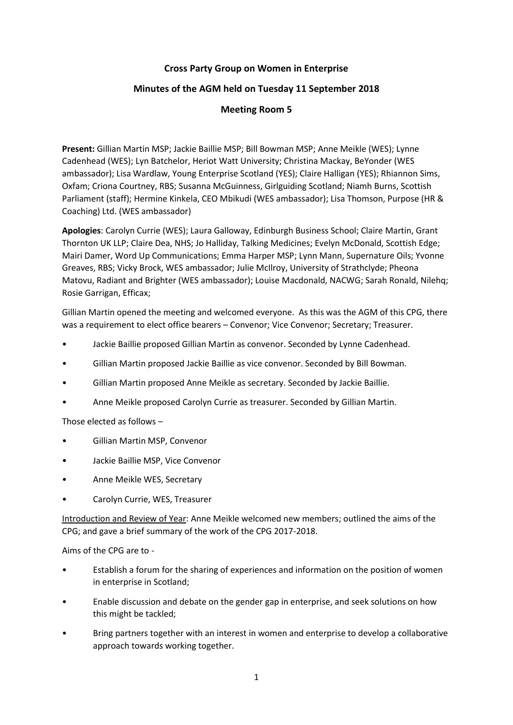## **Cross Party Group on Women in Enterprise**

# **Minutes of the AGM held on Tuesday 11 September 2018**

## **Meeting Room 5**

**Present:** Gillian Martin MSP; Jackie Baillie MSP; Bill Bowman MSP; Anne Meikle (WES); Lynne Cadenhead (WES); Lyn Batchelor, Heriot Watt University; Christina Mackay, BeYonder (WES ambassador); Lisa Wardlaw, Young Enterprise Scotland (YES); Claire Halligan (YES); Rhiannon Sims, Oxfam; Criona Courtney, RBS; Susanna McGuinness, Girlguiding Scotland; Niamh Burns, Scottish Parliament (staff); Hermine Kinkela, CEO Mbikudi (WES ambassador); Lisa Thomson, Purpose (HR & Coaching) Ltd. (WES ambassador)

**Apologies**: Carolyn Currie (WES); Laura Galloway, Edinburgh Business School; Claire Martin, Grant Thornton UK LLP; Claire Dea, NHS; Jo Halliday, Talking Medicines; Evelyn McDonald, Scottish Edge; Mairi Damer, Word Up Communications; Emma Harper MSP; Lynn Mann, Supernature Oils; Yvonne Greaves, RBS; Vicky Brock, WES ambassador; Julie McIlroy, University of Strathclyde; Pheona Matovu, Radiant and Brighter (WES ambassador); Louise Macdonald, NACWG; Sarah Ronald, Nilehq; Rosie Garrigan, Efficax;

Gillian Martin opened the meeting and welcomed everyone. As this was the AGM of this CPG, there was a requirement to elect office bearers – Convenor; Vice Convenor; Secretary; Treasurer.

- Jackie Baillie proposed Gillian Martin as convenor. Seconded by Lynne Cadenhead.
- Gillian Martin proposed Jackie Baillie as vice convenor. Seconded by Bill Bowman.
- Gillian Martin proposed Anne Meikle as secretary. Seconded by Jackie Baillie.
- Anne Meikle proposed Carolyn Currie as treasurer. Seconded by Gillian Martin.

Those elected as follows –

- Gillian Martin MSP, Convenor
- Jackie Baillie MSP, Vice Convenor
- Anne Meikle WES, Secretary
- Carolyn Currie, WES, Treasurer

Introduction and Review of Year: Anne Meikle welcomed new members; outlined the aims of the CPG; and gave a brief summary of the work of the CPG 2017-2018.

Aims of the CPG are to -

- Establish a forum for the sharing of experiences and information on the position of women in enterprise in Scotland;
- Enable discussion and debate on the gender gap in enterprise, and seek solutions on how this might be tackled;
- Bring partners together with an interest in women and enterprise to develop a collaborative approach towards working together.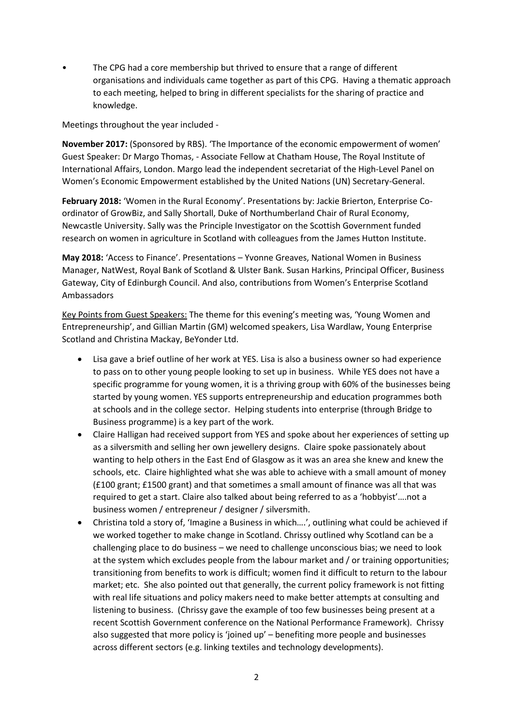• The CPG had a core membership but thrived to ensure that a range of different organisations and individuals came together as part of this CPG. Having a thematic approach to each meeting, helped to bring in different specialists for the sharing of practice and knowledge.

Meetings throughout the year included -

**November 2017:** (Sponsored by RBS). 'The Importance of the economic empowerment of women' Guest Speaker: Dr Margo Thomas, - Associate Fellow at Chatham House, The Royal Institute of International Affairs, London. Margo lead the independent secretariat of the High-Level Panel on Women's Economic Empowerment established by the United Nations (UN) Secretary-General.

**February 2018:** 'Women in the Rural Economy'. Presentations by: Jackie Brierton, Enterprise Coordinator of GrowBiz, and Sally Shortall, Duke of Northumberland Chair of Rural Economy, Newcastle University. Sally was the Principle Investigator on the Scottish Government funded research on women in agriculture in Scotland with colleagues from the James Hutton Institute.

**May 2018:** 'Access to Finance'. Presentations – Yvonne Greaves, National Women in Business Manager, NatWest, Royal Bank of Scotland & Ulster Bank. Susan Harkins, Principal Officer, Business Gateway, City of Edinburgh Council. And also, contributions from Women's Enterprise Scotland Ambassadors

Key Points from Guest Speakers: The theme for this evening's meeting was, 'Young Women and Entrepreneurship', and Gillian Martin (GM) welcomed speakers, Lisa Wardlaw, Young Enterprise Scotland and Christina Mackay, BeYonder Ltd.

- Lisa gave a brief outline of her work at YES. Lisa is also a business owner so had experience to pass on to other young people looking to set up in business. While YES does not have a specific programme for young women, it is a thriving group with 60% of the businesses being started by young women. YES supports entrepreneurship and education programmes both at schools and in the college sector. Helping students into enterprise (through Bridge to Business programme) is a key part of the work.
- Claire Halligan had received support from YES and spoke about her experiences of setting up as a silversmith and selling her own jewellery designs. Claire spoke passionately about wanting to help others in the East End of Glasgow as it was an area she knew and knew the schools, etc. Claire highlighted what she was able to achieve with a small amount of money (£100 grant; £1500 grant) and that sometimes a small amount of finance was all that was required to get a start. Claire also talked about being referred to as a 'hobbyist'….not a business women / entrepreneur / designer / silversmith.
- Christina told a story of, 'Imagine a Business in which….', outlining what could be achieved if we worked together to make change in Scotland. Chrissy outlined why Scotland can be a challenging place to do business – we need to challenge unconscious bias; we need to look at the system which excludes people from the labour market and / or training opportunities; transitioning from benefits to work is difficult; women find it difficult to return to the labour market; etc. She also pointed out that generally, the current policy framework is not fitting with real life situations and policy makers need to make better attempts at consulting and listening to business. (Chrissy gave the example of too few businesses being present at a recent Scottish Government conference on the National Performance Framework). Chrissy also suggested that more policy is 'joined up' – benefiting more people and businesses across different sectors (e.g. linking textiles and technology developments).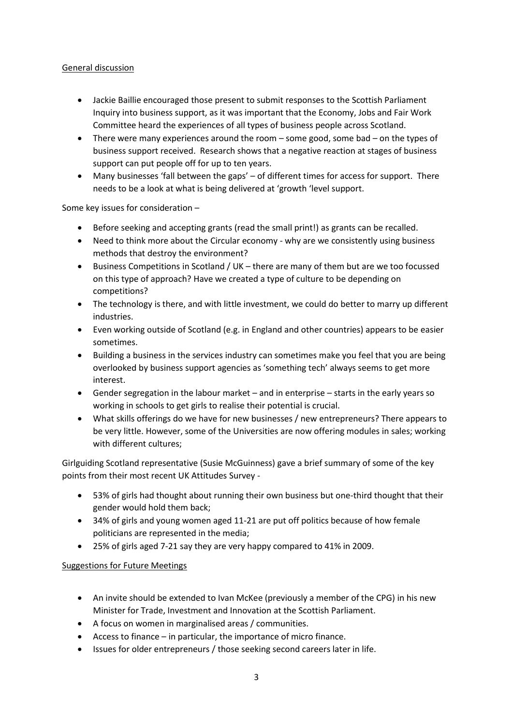### General discussion

- Jackie Baillie encouraged those present to submit responses to the Scottish Parliament Inquiry into business support, as it was important that the Economy, Jobs and Fair Work Committee heard the experiences of all types of business people across Scotland.
- There were many experiences around the room some good, some bad on the types of business support received. Research shows that a negative reaction at stages of business support can put people off for up to ten years.
- Many businesses 'fall between the gaps' of different times for access for support. There needs to be a look at what is being delivered at 'growth 'level support.

Some key issues for consideration –

- Before seeking and accepting grants (read the small print!) as grants can be recalled.
- Need to think more about the Circular economy why are we consistently using business methods that destroy the environment?
- Business Competitions in Scotland / UK there are many of them but are we too focussed on this type of approach? Have we created a type of culture to be depending on competitions?
- The technology is there, and with little investment, we could do better to marry up different industries.
- Even working outside of Scotland (e.g. in England and other countries) appears to be easier sometimes.
- Building a business in the services industry can sometimes make you feel that you are being overlooked by business support agencies as 'something tech' always seems to get more interest.
- Gender segregation in the labour market and in enterprise starts in the early years so working in schools to get girls to realise their potential is crucial.
- What skills offerings do we have for new businesses / new entrepreneurs? There appears to be very little. However, some of the Universities are now offering modules in sales; working with different cultures;

Girlguiding Scotland representative (Susie McGuinness) gave a brief summary of some of the key points from their most recent UK Attitudes Survey -

- 53% of girls had thought about running their own business but one-third thought that their gender would hold them back;
- 34% of girls and young women aged 11-21 are put off politics because of how female politicians are represented in the media;
- 25% of girls aged 7-21 say they are very happy compared to 41% in 2009.

### Suggestions for Future Meetings

- An invite should be extended to Ivan McKee (previously a member of the CPG) in his new Minister for Trade, Investment and Innovation at the Scottish Parliament.
- A focus on women in marginalised areas / communities.
- Access to finance in particular, the importance of micro finance.
- Issues for older entrepreneurs / those seeking second careers later in life.